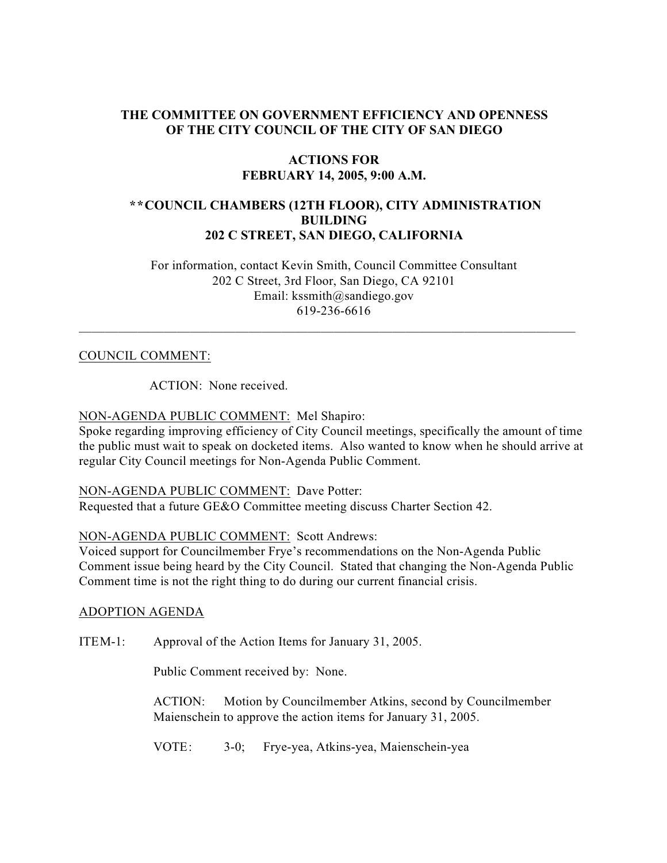## **THE COMMITTEE ON GOVERNMENT EFFICIENCY AND OPENNESS OF THE CITY COUNCIL OF THE CITY OF SAN DIEGO**

## **ACTIONS FOR FEBRUARY 14, 2005, 9:00 A.M.**

# **\*\*COUNCIL CHAMBERS (12TH FLOOR), CITY ADMINISTRATION BUILDING 202 C STREET, SAN DIEGO, CALIFORNIA**

 For information, contact Kevin Smith, Council Committee Consultant 202 C Street, 3rd Floor, San Diego, CA 92101 Email: kssmith@sandiego.gov 619-236-6616

 $\_$  , and the set of the set of the set of the set of the set of the set of the set of the set of the set of the set of the set of the set of the set of the set of the set of the set of the set of the set of the set of th

#### COUNCIL COMMENT:

ACTION: None received.

## NON-AGENDA PUBLIC COMMENT: Mel Shapiro:

Spoke regarding improving efficiency of City Council meetings, specifically the amount of time the public must wait to speak on docketed items. Also wanted to know when he should arrive at regular City Council meetings for Non-Agenda Public Comment.

#### NON-AGENDA PUBLIC COMMENT: Dave Potter:

Requested that a future GE&O Committee meeting discuss Charter Section 42.

## NON-AGENDA PUBLIC COMMENT: Scott Andrews:

Voiced support for Councilmember Frye's recommendations on the Non-Agenda Public Comment issue being heard by the City Council. Stated that changing the Non-Agenda Public Comment time is not the right thing to do during our current financial crisis.

#### ADOPTION AGENDA

ITEM-1: Approval of the Action Items for January 31, 2005.

Public Comment received by: None.

ACTION: Motion by Councilmember Atkins, second by Councilmember Maienschein to approve the action items for January 31, 2005.

VOTE: 3-0; Frye-yea, Atkins-yea, Maienschein-yea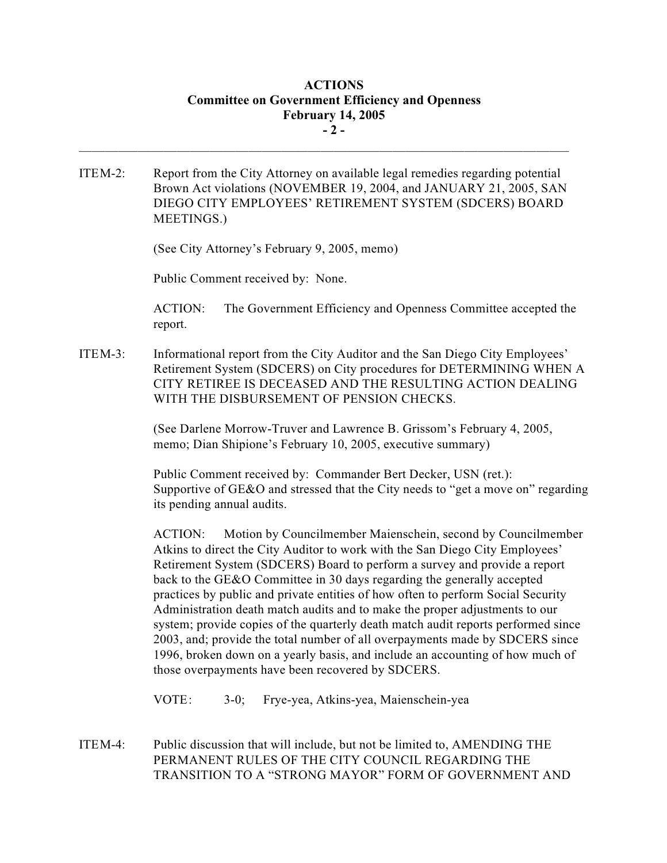# **ACTIONS Committee on Government Efficiency and Openness February 14, 2005 - 2 -**

ITEM-2: Report from the City Attorney on available legal remedies regarding potential Brown Act violations (NOVEMBER 19, 2004, and JANUARY 21, 2005, SAN DIEGO CITY EMPLOYEES' RETIREMENT SYSTEM (SDCERS) BOARD MEETINGS.)

 $\mathcal{L}_\text{max}$ 

(See City Attorney's February 9, 2005, memo)

Public Comment received by: None.

ACTION: The Government Efficiency and Openness Committee accepted the report.

ITEM-3: Informational report from the City Auditor and the San Diego City Employees' Retirement System (SDCERS) on City procedures for DETERMINING WHEN A CITY RETIREE IS DECEASED AND THE RESULTING ACTION DEALING WITH THE DISBURSEMENT OF PENSION CHECKS.

> (See Darlene Morrow-Truver and Lawrence B. Grissom's February 4, 2005, memo; Dian Shipione's February 10, 2005, executive summary)

Public Comment received by: Commander Bert Decker, USN (ret.): Supportive of GE&O and stressed that the City needs to "get a move on" regarding its pending annual audits.

ACTION: Motion by Councilmember Maienschein, second by Councilmember Atkins to direct the City Auditor to work with the San Diego City Employees' Retirement System (SDCERS) Board to perform a survey and provide a report back to the GE&O Committee in 30 days regarding the generally accepted practices by public and private entities of how often to perform Social Security Administration death match audits and to make the proper adjustments to our system; provide copies of the quarterly death match audit reports performed since 2003, and; provide the total number of all overpayments made by SDCERS since 1996, broken down on a yearly basis, and include an accounting of how much of those overpayments have been recovered by SDCERS.

VOTE: 3-0; Frye-yea, Atkins-yea, Maienschein-yea

ITEM-4: Public discussion that will include, but not be limited to, AMENDING THE PERMANENT RULES OF THE CITY COUNCIL REGARDING THE TRANSITION TO A "STRONG MAYOR" FORM OF GOVERNMENT AND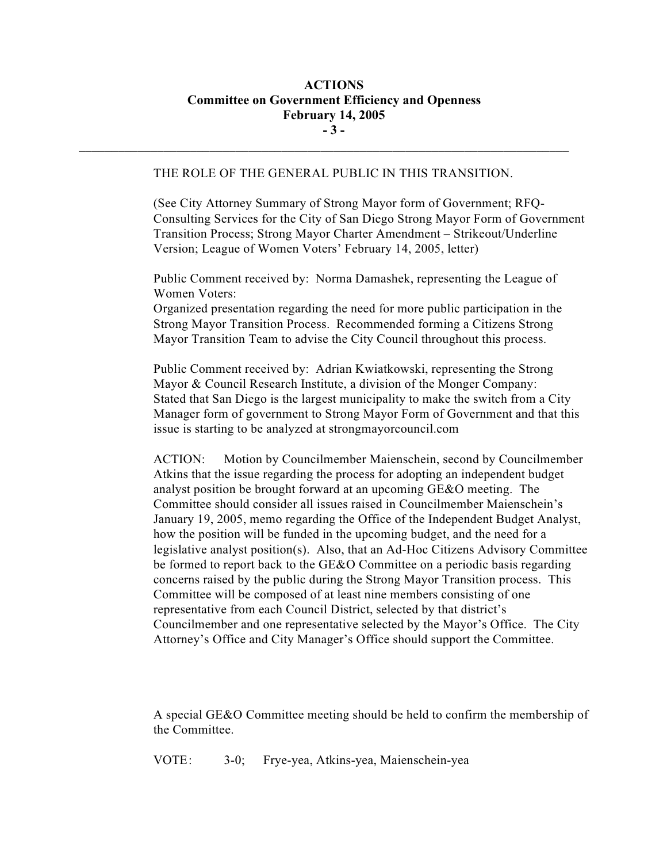# **ACTIONS Committee on Government Efficiency and Openness February 14, 2005 - 3 -**

#### THE ROLE OF THE GENERAL PUBLIC IN THIS TRANSITION.

 $\mathcal{L}_\text{max}$ 

(See City Attorney Summary of Strong Mayor form of Government; RFQ-Consulting Services for the City of San Diego Strong Mayor Form of Government Transition Process; Strong Mayor Charter Amendment – Strikeout/Underline Version; League of Women Voters' February 14, 2005, letter)

Public Comment received by: Norma Damashek, representing the League of Women Voters:

Organized presentation regarding the need for more public participation in the Strong Mayor Transition Process. Recommended forming a Citizens Strong Mayor Transition Team to advise the City Council throughout this process.

Public Comment received by: Adrian Kwiatkowski, representing the Strong Mayor & Council Research Institute, a division of the Monger Company: Stated that San Diego is the largest municipality to make the switch from a City Manager form of government to Strong Mayor Form of Government and that this issue is starting to be analyzed at strongmayorcouncil.com

ACTION: Motion by Councilmember Maienschein, second by Councilmember Atkins that the issue regarding the process for adopting an independent budget analyst position be brought forward at an upcoming GE&O meeting. The Committee should consider all issues raised in Councilmember Maienschein's January 19, 2005, memo regarding the Office of the Independent Budget Analyst, how the position will be funded in the upcoming budget, and the need for a legislative analyst position(s). Also, that an Ad-Hoc Citizens Advisory Committee be formed to report back to the GE&O Committee on a periodic basis regarding concerns raised by the public during the Strong Mayor Transition process. This Committee will be composed of at least nine members consisting of one representative from each Council District, selected by that district's Councilmember and one representative selected by the Mayor's Office. The City Attorney's Office and City Manager's Office should support the Committee.

A special GE&O Committee meeting should be held to confirm the membership of the Committee.

VOTE: 3-0; Frye-yea, Atkins-yea, Maienschein-yea